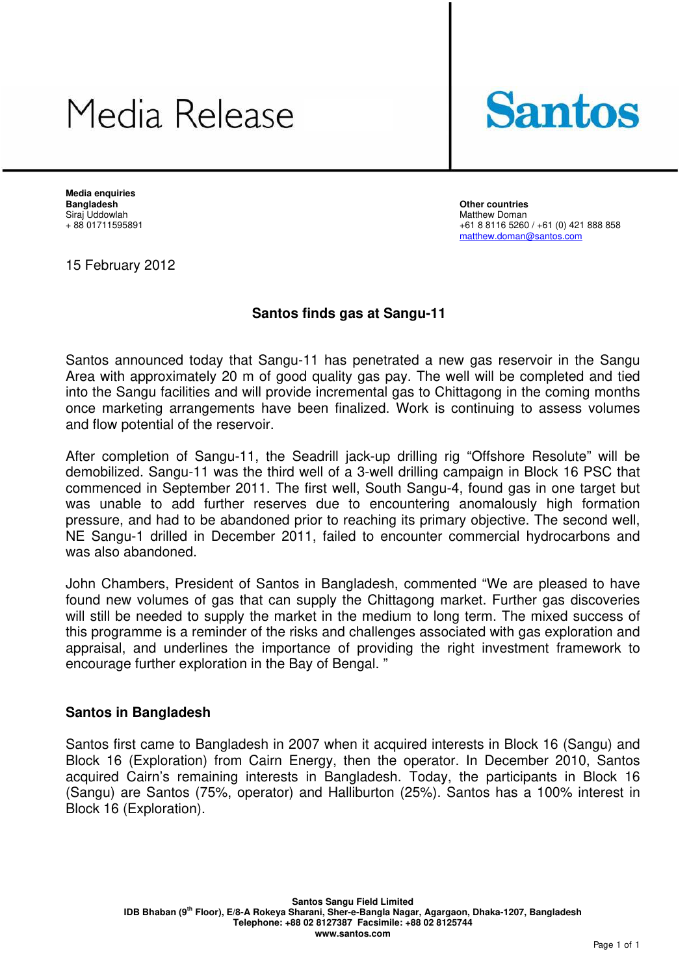## Media Release



**Media enquiries Bangladesh Other countries** Siraj Uddowlah Matthew Doman

+61 8 8116 5260 / +61 (0) 421 888 858 matthew.doman@santos.com

15 February 2012

## **Santos finds gas at Sangu-11**

Santos announced today that Sangu-11 has penetrated a new gas reservoir in the Sangu Area with approximately 20 m of good quality gas pay. The well will be completed and tied into the Sangu facilities and will provide incremental gas to Chittagong in the coming months once marketing arrangements have been finalized. Work is continuing to assess volumes and flow potential of the reservoir.

After completion of Sangu-11, the Seadrill jack-up drilling rig "Offshore Resolute" will be demobilized. Sangu-11 was the third well of a 3-well drilling campaign in Block 16 PSC that commenced in September 2011. The first well, South Sangu-4, found gas in one target but was unable to add further reserves due to encountering anomalously high formation pressure, and had to be abandoned prior to reaching its primary objective. The second well, NE Sangu-1 drilled in December 2011, failed to encounter commercial hydrocarbons and was also abandoned.

John Chambers, President of Santos in Bangladesh, commented "We are pleased to have found new volumes of gas that can supply the Chittagong market. Further gas discoveries will still be needed to supply the market in the medium to long term. The mixed success of this programme is a reminder of the risks and challenges associated with gas exploration and appraisal, and underlines the importance of providing the right investment framework to encourage further exploration in the Bay of Bengal. "

## **Santos in Bangladesh**

Santos first came to Bangladesh in 2007 when it acquired interests in Block 16 (Sangu) and Block 16 (Exploration) from Cairn Energy, then the operator. In December 2010, Santos acquired Cairn's remaining interests in Bangladesh. Today, the participants in Block 16 (Sangu) are Santos (75%, operator) and Halliburton (25%). Santos has a 100% interest in Block 16 (Exploration).